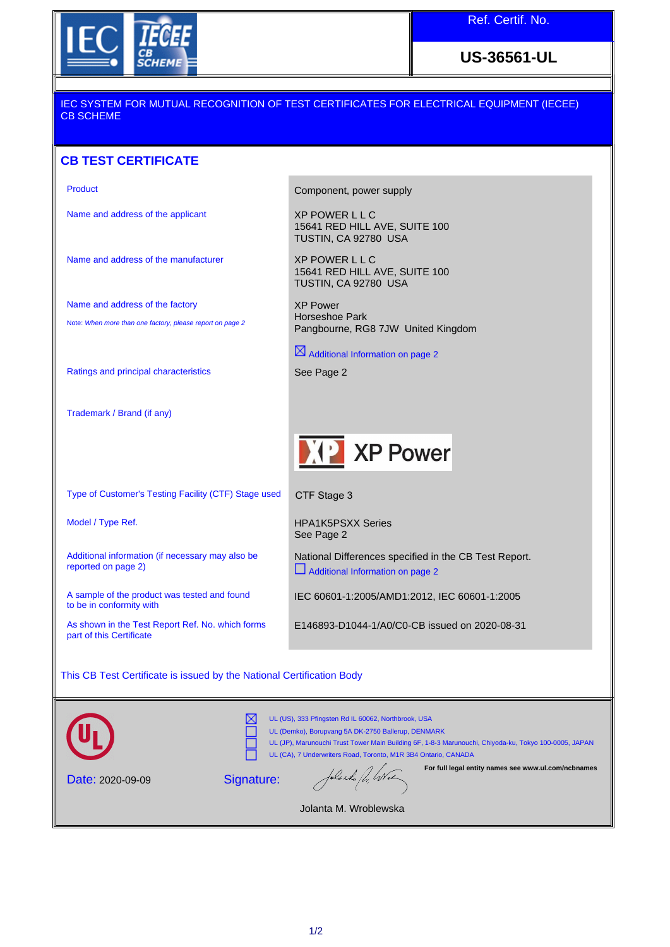

**US-36561-UL**

### IEC SYSTEM FOR MUTUAL RECOGNITION OF TEST CERTIFICATES FOR ELECTRICAL EQUIPMENT (IECEE) CB SCHEME

## **CB TEST CERTIFICATE**

Name and address of the applicant XP POWER L L C

Name and address of the manufacturer XP POWER L L C

Name and address of the factory Note: When more than one factory, please report on page 2

Type of Customer's Testing Facility (CTF) Stage used

Additional information (if necessary may also be

A sample of the product was tested and found

As shown in the Test Report Ref. No. which forms

Ratings and principal characteristics See Page 2

Trademark / Brand (if any)

reported on page 2)

to be in conformity with

part of this Certificate

Product **Component**, power supply

15641 RED HILL AVE, SUITE 100 TUSTIN, CA 92780 USA

15641 RED HILL AVE, SUITE 100 TUSTIN, CA 92780 USA

XP Power Horseshoe Park Pangbourne, RG8 7JW United Kingdom

 $\boxtimes$  Additional Information on page 2



CTF Stage 3

Model / Type Ref. The Model of Type Ref. The Model of Type Ref. Assembly Model of Type Ref. and Model of Type Ref. See Page 2

> National Differences specified in the CB Test Report. Additional Information on page 2

IEC 60601-1:2005/AMD1:2012, IEC 60601-1:2005

E146893-D1044-1/A0/C0-CB issued on 2020-08-31

This CB Test Certificate is issued by the National Certification Body

|                         | UL (US), 333 Pfingsten Rd IL 60062, Northbrook, USA<br>UL (Demko), Borupvang 5A DK-2750 Ballerup, DENMARK<br>UL (JP), Marunouchi Trust Tower Main Building 6F, 1-8-3 Marunouchi, Chiyoda-ku, Tokyo 100-0005, JAPAN<br>UL (CA), 7 Underwriters Road, Toronto, M1R 3B4 Ontario, CANADA |                   |                                                     |
|-------------------------|--------------------------------------------------------------------------------------------------------------------------------------------------------------------------------------------------------------------------------------------------------------------------------------|-------------------|-----------------------------------------------------|
| <b>Date: 2020-09-09</b> | Signature:                                                                                                                                                                                                                                                                           | folarda for livre | For full legal entity names see www.ul.com/ncbnames |

Jolanta M. Wroblewska